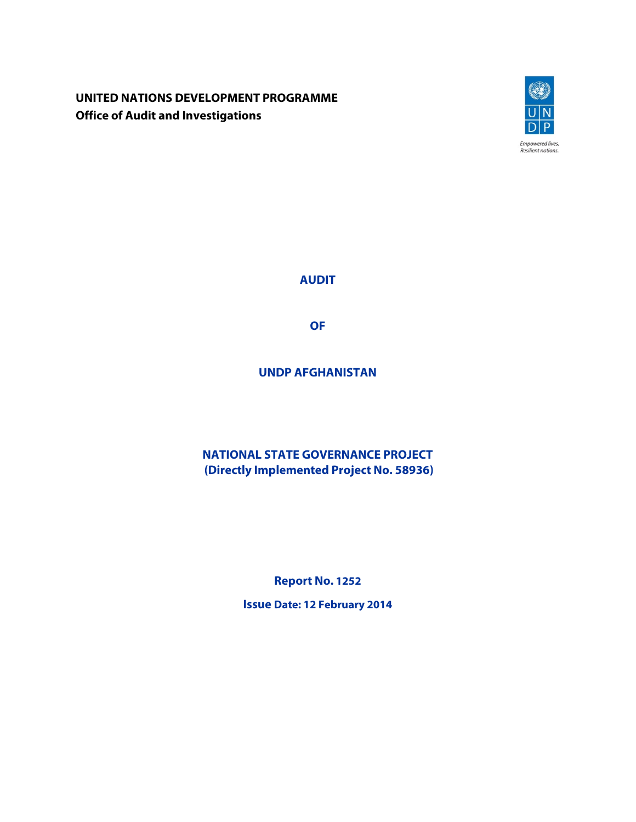**UNITED NATIONS DEVELOPMENT PROGRAMME Office of Audit and Investigations**



**AUDIT** 

**OF** 

**UNDP AFGHANISTAN** 

**NATIONAL STATE GOVERNANCE PROJECT (Directly Implemented Project No. 58936)** 

**Report No. 1252**

**Issue Date: 12 February 2014**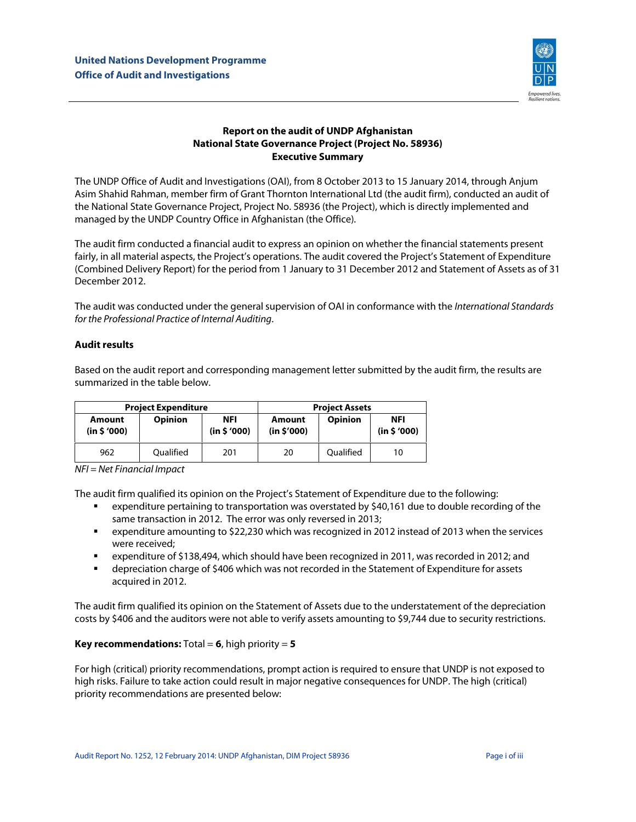

## **Report on the audit of UNDP Afghanistan National State Governance Project (Project No. 58936) Executive Summary**

The UNDP Office of Audit and Investigations (OAI), from 8 October 2013 to 15 January 2014, through Anjum Asim Shahid Rahman, member firm of Grant Thornton International Ltd (the audit firm), conducted an audit of the National State Governance Project, Project No. 58936 (the Project), which is directly implemented and managed by the UNDP Country Office in Afghanistan (the Office).

The audit firm conducted a financial audit to express an opinion on whether the financial statements present fairly, in all material aspects, the Project's operations. The audit covered the Project's Statement of Expenditure (Combined Delivery Report) for the period from 1 January to 31 December 2012 and Statement of Assets as of 31 December 2012.

The audit was conducted under the general supervision of OAI in conformance with the International Standards for the Professional Practice of Internal Auditing.

## **Audit results**

Based on the audit report and corresponding management letter submitted by the audit firm, the results are summarized in the table below.

| <b>Project Expenditure</b> |                |                           | <b>Project Assets</b> |                |                           |
|----------------------------|----------------|---------------------------|-----------------------|----------------|---------------------------|
| Amount<br>(in \$'000)      | <b>Opinion</b> | <b>NFI</b><br>(in \$'000) | Amount<br>(in \$'000) | <b>Opinion</b> | <b>NFI</b><br>(in \$'000) |
| 962                        | Oualified      | 201                       | 20                    | Oualified      | 10                        |

NFI = Net Financial Impact

The audit firm qualified its opinion on the Project's Statement of Expenditure due to the following:

- expenditure pertaining to transportation was overstated by \$40,161 due to double recording of the same transaction in 2012. The error was only reversed in 2013;
- expenditure amounting to \$22,230 which was recognized in 2012 instead of 2013 when the services were received;
- expenditure of \$138,494, which should have been recognized in 2011, was recorded in 2012; and
- **•** depreciation charge of \$406 which was not recorded in the Statement of Expenditure for assets acquired in 2012.

The audit firm qualified its opinion on the Statement of Assets due to the understatement of the depreciation costs by \$406 and the auditors were not able to verify assets amounting to \$9,744 due to security restrictions.

## **Key recommendations:** Total = **6**, high priority = **5**

For high (critical) priority recommendations, prompt action is required to ensure that UNDP is not exposed to high risks. Failure to take action could result in major negative consequences for UNDP. The high (critical) priority recommendations are presented below: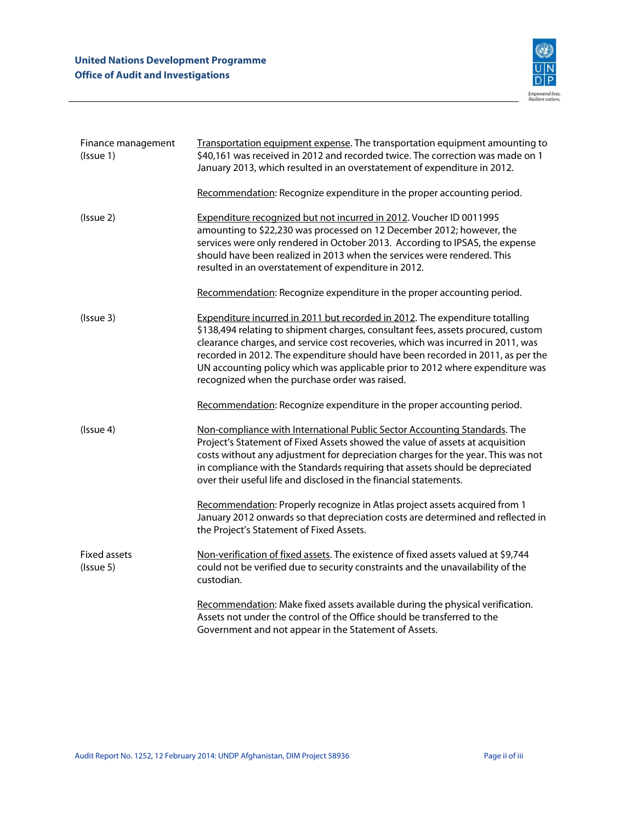

| Finance management<br>(Issue 1)  | Transportation equipment expense. The transportation equipment amounting to<br>\$40,161 was received in 2012 and recorded twice. The correction was made on 1<br>January 2013, which resulted in an overstatement of expenditure in 2012.                                                                                                                                                                                                                                 |
|----------------------------------|---------------------------------------------------------------------------------------------------------------------------------------------------------------------------------------------------------------------------------------------------------------------------------------------------------------------------------------------------------------------------------------------------------------------------------------------------------------------------|
|                                  | Recommendation: Recognize expenditure in the proper accounting period.                                                                                                                                                                                                                                                                                                                                                                                                    |
| (Issue 2)                        | Expenditure recognized but not incurred in 2012. Voucher ID 0011995<br>amounting to \$22,230 was processed on 12 December 2012; however, the<br>services were only rendered in October 2013. According to IPSAS, the expense<br>should have been realized in 2013 when the services were rendered. This<br>resulted in an overstatement of expenditure in 2012.                                                                                                           |
|                                  | Recommendation: Recognize expenditure in the proper accounting period.                                                                                                                                                                                                                                                                                                                                                                                                    |
| (Issue 3)                        | Expenditure incurred in 2011 but recorded in 2012. The expenditure totalling<br>\$138,494 relating to shipment charges, consultant fees, assets procured, custom<br>clearance charges, and service cost recoveries, which was incurred in 2011, was<br>recorded in 2012. The expenditure should have been recorded in 2011, as per the<br>UN accounting policy which was applicable prior to 2012 where expenditure was<br>recognized when the purchase order was raised. |
|                                  | Recommendation: Recognize expenditure in the proper accounting period.                                                                                                                                                                                                                                                                                                                                                                                                    |
| (Issue 4)                        | Non-compliance with International Public Sector Accounting Standards. The<br>Project's Statement of Fixed Assets showed the value of assets at acquisition<br>costs without any adjustment for depreciation charges for the year. This was not<br>in compliance with the Standards requiring that assets should be depreciated<br>over their useful life and disclosed in the financial statements.                                                                       |
|                                  | Recommendation: Properly recognize in Atlas project assets acquired from 1<br>January 2012 onwards so that depreciation costs are determined and reflected in<br>the Project's Statement of Fixed Assets.                                                                                                                                                                                                                                                                 |
| <b>Fixed assets</b><br>(Issue 5) | Non-verification of fixed assets. The existence of fixed assets valued at \$9,744<br>could not be verified due to security constraints and the unavailability of the<br>custodian.                                                                                                                                                                                                                                                                                        |
|                                  | Recommendation: Make fixed assets available during the physical verification.<br>Assets not under the control of the Office should be transferred to the<br>Government and not appear in the Statement of Assets.                                                                                                                                                                                                                                                         |